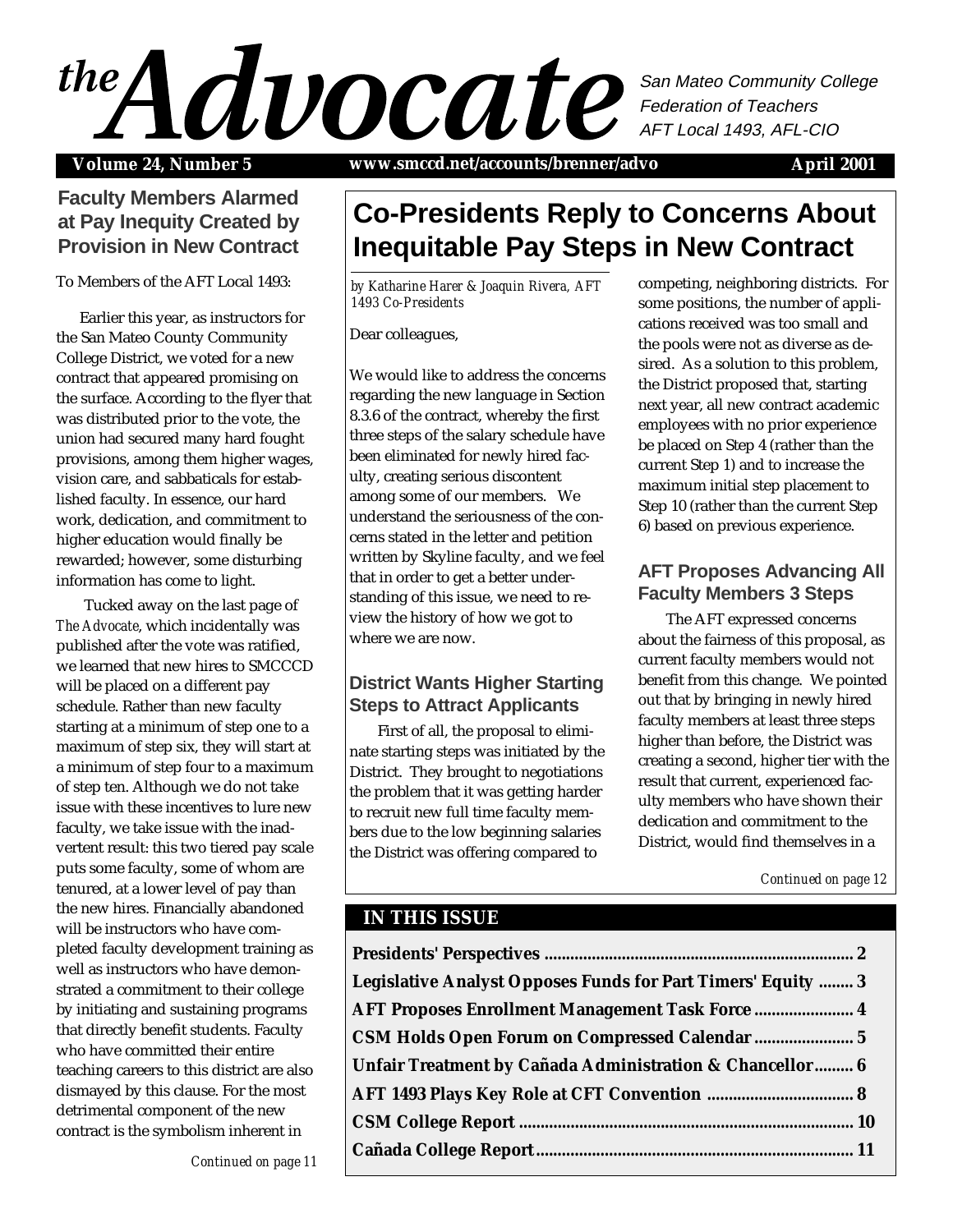## $\mathcal{A}$ San Mateo Community College Federation of Teachers AFT Local 1493, AFL-CIO

Volume 24, Number 5 www.smccd.net/accounts/brenner/advo April 2001

## **Faculty Members Alarmed at Pay Inequity Created by Provision in New Contract**

To Members of the AFT Local 1493:

Earlier this year, as instructors for the San Mateo County Community College District, we voted for a new contract that appeared promising on the surface. According to the flyer that was distributed prior to the vote, the union had secured many hard fought provisions, among them higher wages, vision care, and sabbaticals for established faculty. In essence, our hard work, dedication, and commitment to higher education would finally be rewarded; however, some disturbing information has come to light.

Tucked away on the last page of *The Advocate*, which incidentally was published after the vote was ratified, we learned that new hires to SMCCCD will be placed on a different pay schedule. Rather than new faculty starting at a minimum of step one to a maximum of step six, they will start at a minimum of step four to a maximum of step ten. Although we do not take issue with these incentives to lure new faculty, we take issue with the inadvertent result: this two tiered pay scale puts some faculty, some of whom are tenured, at a lower level of pay than the new hires. Financially abandoned will be instructors who have completed faculty development training as well as instructors who have demonstrated a commitment to their college by initiating and sustaining programs that directly benefit students. Faculty who have committed their entire teaching careers to this district are also dismayed by this clause. For the most detrimental component of the new contract is the symbolism inherent in

**Inequitable Pay Steps in New Contract** *by Katharine Harer & Joaquin Rivera, AFT 1493 Co-Presidents*

**Co-Presidents Reply to Concerns About**

#### Dear colleagues,

We would like to address the concerns regarding the new language in Section 8.3.6 of the contract, whereby the first three steps of the salary schedule have been eliminated for newly hired faculty, creating serious discontent among some of our members. We understand the seriousness of the concerns stated in the letter and petition written by Skyline faculty, and we feel that in order to get a better understanding of this issue, we need to review the history of how we got to where we are now.

## **District Wants Higher Starting Steps to Attract Applicants**

First of all, the proposal to eliminate starting steps was initiated by the District. They brought to negotiations the problem that it was getting harder to recruit new full time faculty members due to the low beginning salaries the District was offering compared to

competing, neighboring districts. For some positions, the number of applications received was too small and the pools were not as diverse as desired. As a solution to this problem, the District proposed that, starting next year, all new contract academic employees with no prior experience be placed on Step 4 (rather than the current Step 1) and to increase the maximum initial step placement to Step 10 (rather than the current Step 6) based on previous experience.

## **AFT Proposes Advancing All Faculty Members 3 Steps**

The AFT expressed concerns about the fairness of this proposal, as current faculty members would not benefit from this change. We pointed out that by bringing in newly hired faculty members at least three steps higher than before, the District was creating a second, higher tier with the result that current, experienced faculty members who have shown their dedication and commitment to the District, would find themselves in a

## **IN THIS ISSUE**

| Legislative Analyst Opposes Funds for Part Timers' Equity  3 |  |
|--------------------------------------------------------------|--|
| AFT Proposes Enrollment Management Task Force  4             |  |
| CSM Holds Open Forum on Compressed Calendar  5               |  |
| Unfair Treatment by Cañada Administration & Chancellor 6     |  |
|                                                              |  |
|                                                              |  |
|                                                              |  |
|                                                              |  |

*Continued on page 11*

*Continued on page 12*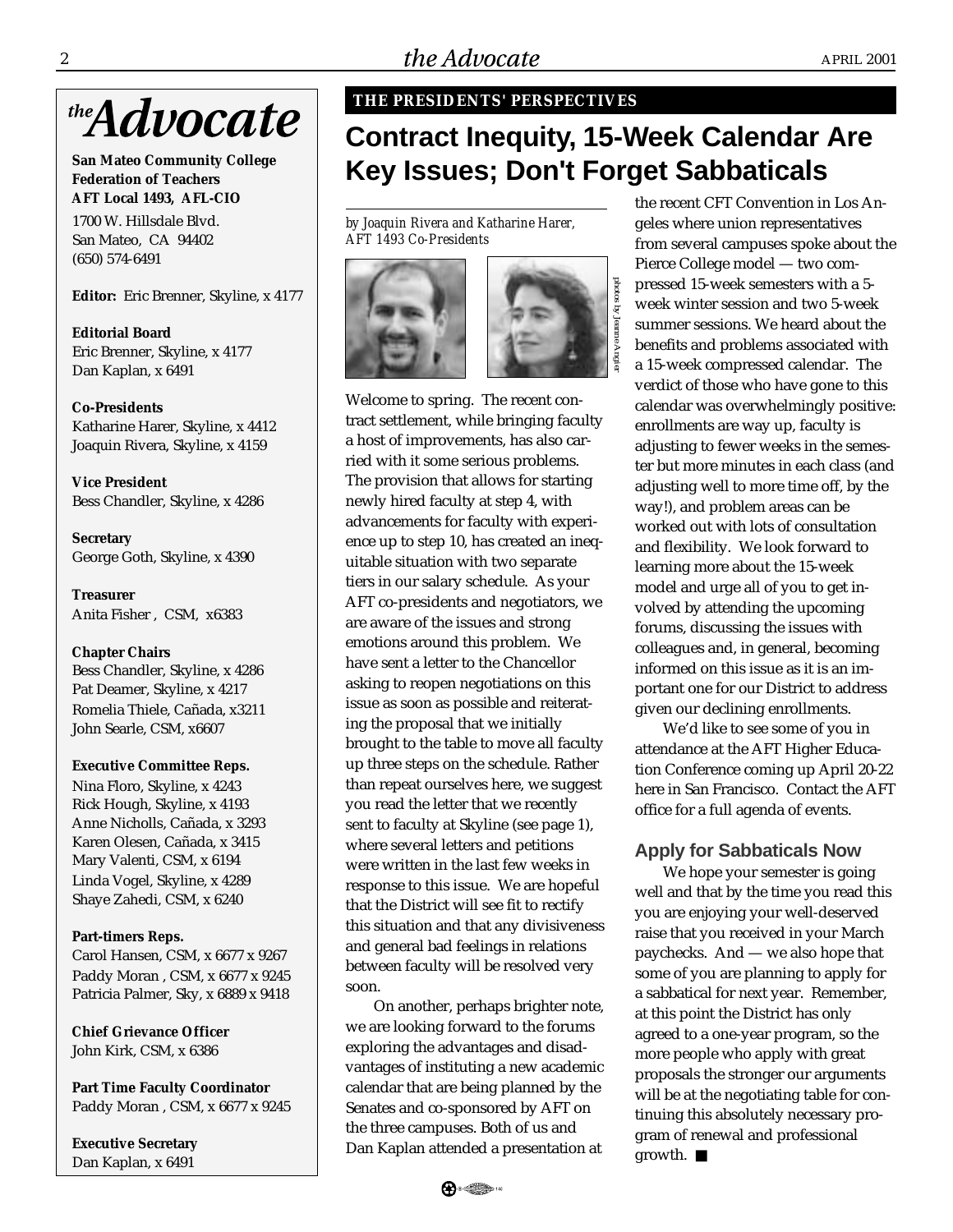

**San Mateo Community College Federation of Teachers AFT Local 1493, AFL-CIO**

1700 W. Hillsdale Blvd. San Mateo, CA 94402 (650) 574-6491

**Editor:** Eric Brenner, Skyline, x 4177

**Editorial Board** Eric Brenner, Skyline, x 4177 Dan Kaplan, x 6491

**Co-Presidents** Katharine Harer, Skyline, x 4412 Joaquin Rivera, Skyline, x 4159

**Vice President** Bess Chandler, Skyline, x 4286

**Secretary** George Goth, Skyline, x 4390

**Treasurer** Anita Fisher , CSM, x6383

**Chapter Chairs** Bess Chandler, Skyline, x 4286 Pat Deamer, Skyline, x 4217 Romelia Thiele, Cañada, x3211

#### **Executive Committee Reps.**

John Searle, CSM, x6607

Nina Floro, Skyline, x 4243 Rick Hough, Skyline, x 4193 Anne Nicholls, Cañada, x 3293 Karen Olesen, Cañada, x 3415 Mary Valenti, CSM, x 6194 Linda Vogel, Skyline, x 4289 Shaye Zahedi, CSM, x 6240

#### **Part-timers Reps.**

Carol Hansen, CSM, x 6677 x 9267 Paddy Moran , CSM, x 6677 x 9245 Patricia Palmer, Sky, x 6889 x 9418

**Chief Grievance Officer** John Kirk, CSM, x 6386

**Part Time Faculty Coordinator** Paddy Moran , CSM, x 6677 x 9245

**Executive Secretary** Dan Kaplan, x 6491

#### **THE PRESIDENTS' PERSPECTIVES**

## **Contract Inequity, 15-Week Calendar Are Key Issues; Don't Forget Sabbaticals**

*by Joaquin Rivera and Katharine Harer, AFT 1493 Co-Presidents*





Welcome to spring. The recent contract settlement, while bringing faculty a host of improvements, has also carried with it some serious problems. The provision that allows for starting newly hired faculty at step 4, with advancements for faculty with experience up to step 10, has created an inequitable situation with two separate tiers in our salary schedule. As your AFT co-presidents and negotiators, we are aware of the issues and strong emotions around this problem. We have sent a letter to the Chancellor asking to reopen negotiations on this issue as soon as possible and reiterating the proposal that we initially brought to the table to move all faculty up three steps on the schedule. Rather than repeat ourselves here, we suggest you read the letter that we recently sent to faculty at Skyline (see page 1), where several letters and petitions were written in the last few weeks in response to this issue. We are hopeful that the District will see fit to rectify this situation and that any divisiveness and general bad feelings in relations between faculty will be resolved very soon.

On another, perhaps brighter note, we are looking forward to the forums exploring the advantages and disadvantages of instituting a new academic calendar that are being planned by the Senates and co-sponsored by AFT on the three campuses. Both of us and Dan Kaplan attended a presentation at

the recent CFT Convention in Los Angeles where union representatives from several campuses spoke about the Pierce College model — two compressed 15-week semesters with a 5 week winter session and two 5-week summer sessions. We heard about the benefits and problems associated with a 15-week compressed calendar. The verdict of those who have gone to this calendar was overwhelmingly positive: enrollments are way up, faculty is adjusting to fewer weeks in the semester but more minutes in each class (and adjusting well to more time off, by the way!), and problem areas can be worked out with lots of consultation and flexibility. We look forward to learning more about the 15-week model and urge all of you to get involved by attending the upcoming forums, discussing the issues with colleagues and, in general, becoming informed on this issue as it is an important one for our District to address given our declining enrollments.

We'd like to see some of you in attendance at the AFT Higher Education Conference coming up April 20-22 here in San Francisco. Contact the AFT office for a full agenda of events.

#### **Apply for Sabbaticals Now**

We hope your semester is going well and that by the time you read this you are enjoying your well-deserved raise that you received in your March paychecks. And — we also hope that some of you are planning to apply for a sabbatical for next year. Remember, at this point the District has only agreed to a one-year program, so the more people who apply with great proposals the stronger our arguments will be at the negotiating table for continuing this absolutely necessary program of renewal and professional growth. ■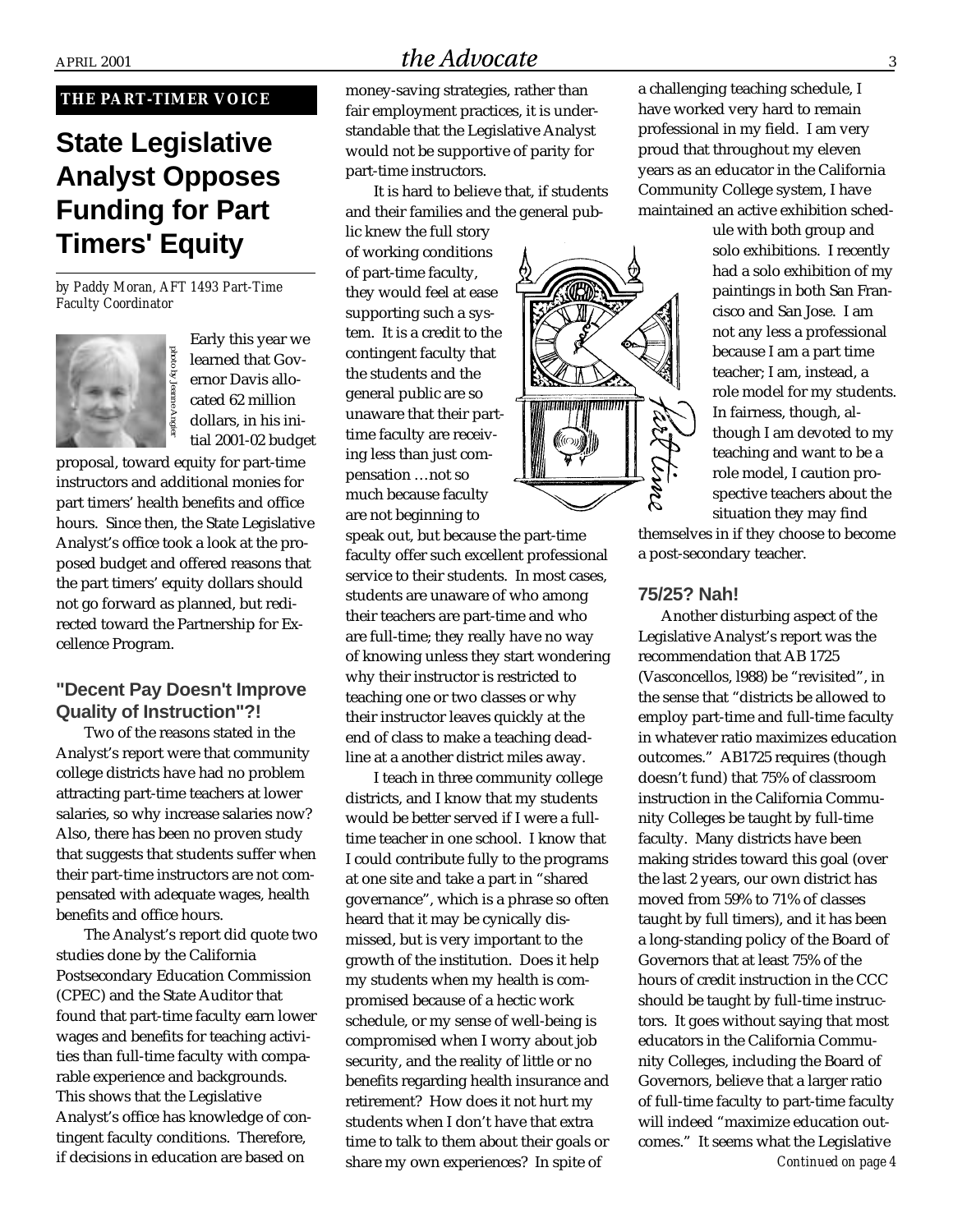#### **THE PART-TIMER VOICE**

# **State Legislative Analyst Opposes Funding for Part Timers' Equity**

*by Paddy Moran, AFT 1493 Part-Time Faculty Coordinator*



Early this year we learned that Governor Davis allocated 62 million dollars, in his initial 2001-02 budget

proposal, toward equity for part-time instructors and additional monies for part timers' health benefits and office hours. Since then, the State Legislative Analyst's office took a look at the proposed budget and offered reasons that the part timers' equity dollars should not go forward as planned, but redirected toward the Partnership for Excellence Program.

#### **"Decent Pay Doesn't Improve Quality of Instruction"?!**

Two of the reasons stated in the Analyst's report were that community college districts have had no problem attracting part-time teachers at lower salaries, so why increase salaries now? Also, there has been no proven study that suggests that students suffer when their part-time instructors are not compensated with adequate wages, health benefits and office hours.

The Analyst's report did quote two studies done by the California Postsecondary Education Commission (CPEC) and the State Auditor that found that part-time faculty earn lower wages and benefits for teaching activities than full-time faculty with comparable experience and backgrounds. This shows that the Legislative Analyst's office has knowledge of contingent faculty conditions. Therefore, if decisions in education are based on

## $A$ PRIL 2001  $the Advocate$  3

money-saving strategies, rather than fair employment practices, it is understandable that the Legislative Analyst would not be supportive of parity for part-time instructors.

It is hard to believe that, if students and their families and the general pub-

lic knew the full story of working conditions of part-time faculty, they would feel at ease supporting such a system. It is a credit to the contingent faculty that the students and the general public are so unaware that their parttime faculty are receiving less than just compensation …not so much because faculty are not beginning to

speak out, but because the part-time faculty offer such excellent professional service to their students. In most cases, students are unaware of who among their teachers are part-time and who are full-time; they really have no way of knowing unless they start wondering why their instructor is restricted to teaching one or two classes or why their instructor leaves quickly at the end of class to make a teaching deadline at a another district miles away.

I teach in three community college districts, and I know that my students would be better served if I were a fulltime teacher in one school. I know that I could contribute fully to the programs at one site and take a part in "shared governance", which is a phrase so often heard that it may be cynically dismissed, but is very important to the growth of the institution. Does it help my students when my health is compromised because of a hectic work schedule, or my sense of well-being is compromised when I worry about job security, and the reality of little or no benefits regarding health insurance and retirement? How does it not hurt my students when I don't have that extra time to talk to them about their goals or share my own experiences? In spite of

a challenging teaching schedule, I have worked very hard to remain professional in my field. I am very proud that throughout my eleven years as an educator in the California Community College system, I have maintained an active exhibition sched-

> ule with both group and solo exhibitions. I recently had a solo exhibition of my paintings in both San Francisco and San Jose. I am not any less a professional because I am a part time teacher; I am, instead, a role model for my students. In fairness, though, although I am devoted to my teaching and want to be a role model, I caution prospective teachers about the situation they may find

themselves in if they choose to become a post-secondary teacher.

#### **75/25? Nah!**

rpl

**pomoppymmm** 

Another disturbing aspect of the Legislative Analyst's report was the recommendation that AB 1725 (Vasconcellos, l988) be "revisited", in the sense that "districts be allowed to employ part-time and full-time faculty in whatever ratio maximizes education outcomes." AB1725 requires (though doesn't fund) that 75% of classroom instruction in the California Community Colleges be taught by full-time faculty. Many districts have been making strides toward this goal (over the last 2 years, our own district has moved from 59% to 71% of classes taught by full timers), and it has been a long-standing policy of the Board of Governors that at least 75% of the hours of credit instruction in the CCC should be taught by full-time instructors. It goes without saying that most educators in the California Community Colleges, including the Board of Governors, believe that a larger ratio of full-time faculty to part-time faculty will indeed "maximize education outcomes." It seems what the Legislative

*Continued on page 4*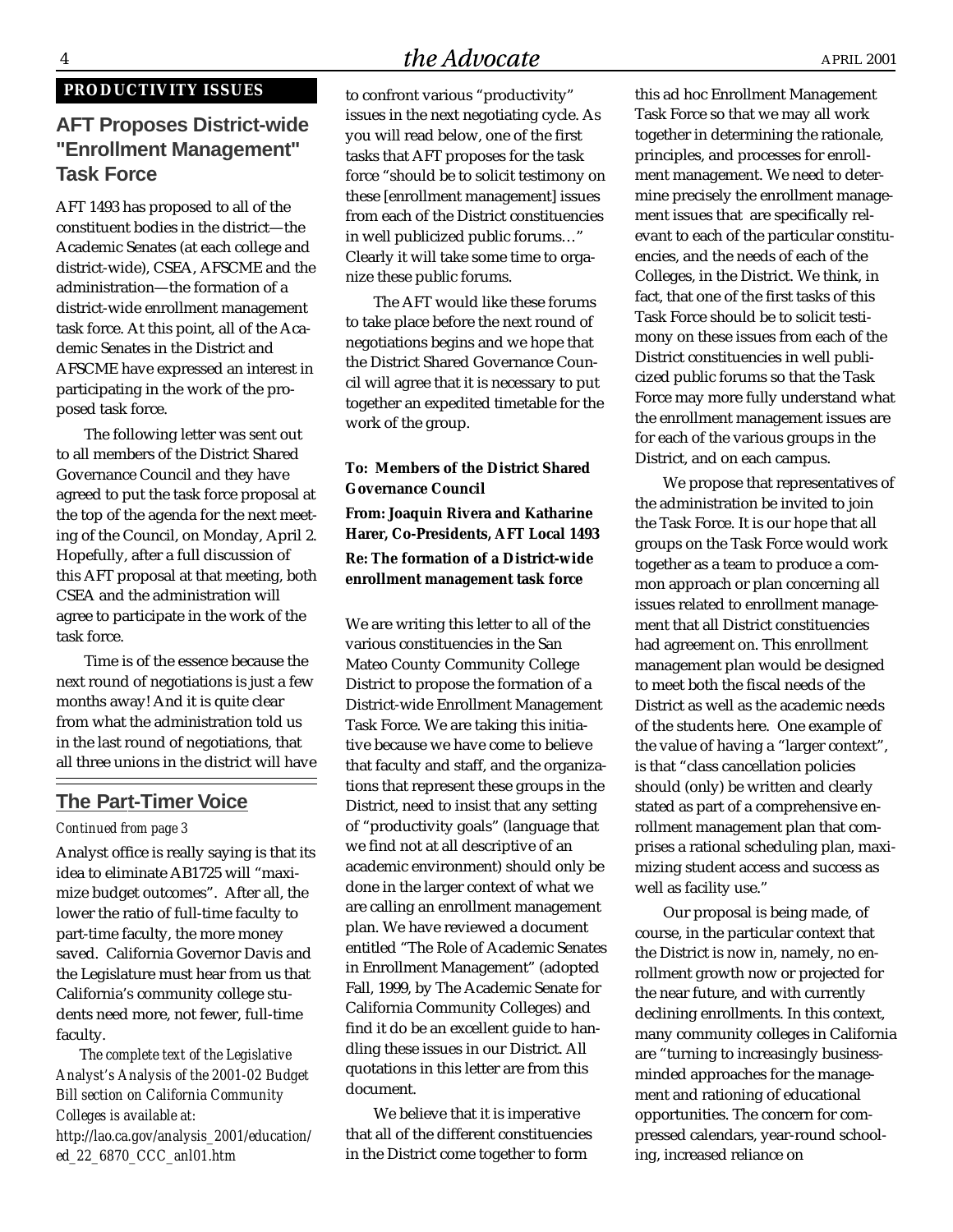## 4 *Advocate* April 2001

#### **PRODUCTIVITY ISSUES**

## **AFT Proposes District-wide "Enrollment Management" Task Force**

AFT 1493 has proposed to all of the constituent bodies in the district—the Academic Senates (at each college and district-wide), CSEA, AFSCME and the administration—the formation of a district-wide enrollment management task force. At this point, all of the Academic Senates in the District and AFSCME have expressed an interest in participating in the work of the proposed task force.

The following letter was sent out to all members of the District Shared Governance Council and they have agreed to put the task force proposal at the top of the agenda for the next meeting of the Council, on Monday, April 2. Hopefully, after a full discussion of this AFT proposal at that meeting, both CSEA and the administration will agree to participate in the work of the task force.

Time is of the essence because the next round of negotiations is just a few months away! And it is quite clear from what the administration told us in the last round of negotiations, that all three unions in the district will have

#### **The Part-Timer Voice**

#### *Continued from page 3*

Analyst office is really saying is that its idea to eliminate AB1725 will "maximize budget outcomes". After all, the lower the ratio of full-time faculty to part-time faculty, the more money saved. California Governor Davis and the Legislature must hear from us that California's community college students need more, not fewer, full-time faculty.

T*he complete text of the Legislative Analyst's Analysis of the 2001-02 Budget Bill section on California Community Colleges is available at: http://lao.ca.gov/analysis\_2001/education/ ed\_22\_6870\_CCC\_anl01.htm*

to confront various "productivity" issues in the next negotiating cycle. As you will read below, one of the first tasks that AFT proposes for the task force "should be to solicit testimony on these [enrollment management] issues from each of the District constituencies in well publicized public forums…" Clearly it will take some time to organize these public forums.

The AFT would like these forums to take place before the next round of negotiations begins and we hope that the District Shared Governance Council will agree that it is necessary to put together an expedited timetable for the work of the group.

#### **To: Members of the District Shared Governance Council**

**From: Joaquin Rivera and Katharine Harer, Co-Presidents, AFT Local 1493 Re: The formation of a District-wide enrollment management task force**

We are writing this letter to all of the various constituencies in the San Mateo County Community College District to propose the formation of a District-wide Enrollment Management Task Force. We are taking this initiative because we have come to believe that faculty and staff, and the organizations that represent these groups in the District, need to insist that any setting of "productivity goals" (language that we find not at all descriptive of an academic environment) should only be done in the larger context of what we are calling an enrollment management plan. We have reviewed a document entitled "The Role of Academic Senates in Enrollment Management" (adopted Fall, 1999, by The Academic Senate for California Community Colleges) and find it do be an excellent guide to handling these issues in our District. All quotations in this letter are from this document.

We believe that it is imperative that all of the different constituencies in the District come together to form

this ad hoc Enrollment Management Task Force so that we may all work together in determining the rationale, principles, and processes for enrollment management. We need to determine precisely the enrollment management issues that are specifically relevant to each of the particular constituencies, and the needs of each of the Colleges, in the District. We think, in fact, that one of the first tasks of this Task Force should be to solicit testimony on these issues from each of the District constituencies in well publicized public forums so that the Task Force may more fully understand what the enrollment management issues are for each of the various groups in the District, and on each campus.

We propose that representatives of the administration be invited to join the Task Force. It is our hope that all groups on the Task Force would work together as a team to produce a common approach or plan concerning all issues related to enrollment management that all District constituencies had agreement on. This enrollment management plan would be designed to meet both the fiscal needs of the District as well as the academic needs of the students here. One example of the value of having a "larger context", is that "class cancellation policies should (only) be written and clearly stated as part of a comprehensive enrollment management plan that comprises a rational scheduling plan, maximizing student access and success as well as facility use."

Our proposal is being made, of course, in the particular context that the District is now in, namely, no enrollment growth now or projected for the near future, and with currently declining enrollments. In this context, many community colleges in California are "turning to increasingly businessminded approaches for the management and rationing of educational opportunities. The concern for compressed calendars, year-round schooling, increased reliance on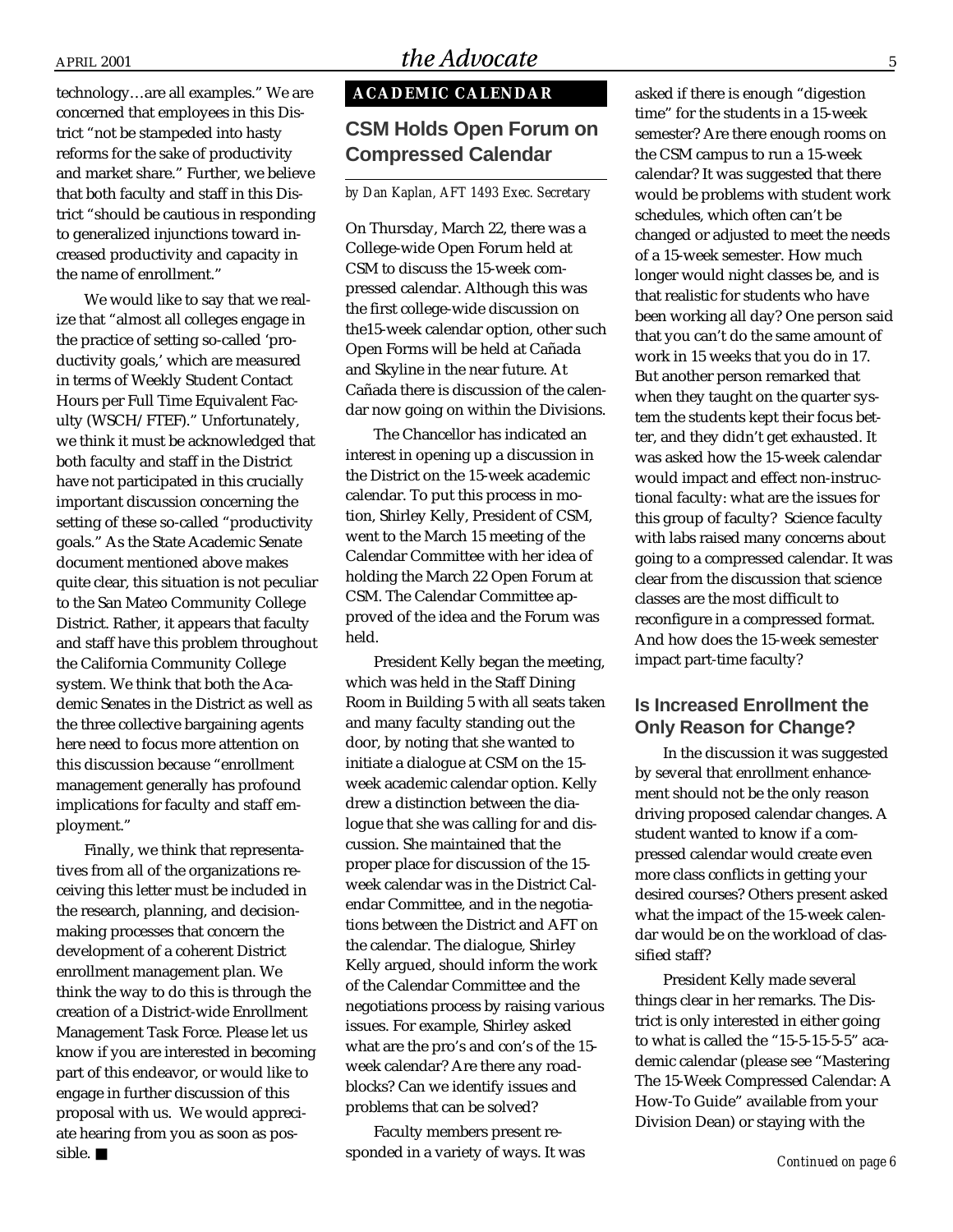technology…are all examples." We are concerned that employees in this District "not be stampeded into hasty reforms for the sake of productivity and market share." Further, we believe that both faculty and staff in this District "should be cautious in responding to generalized injunctions toward increased productivity and capacity in the name of enrollment."

We would like to say that we realize that "almost all colleges engage in the practice of setting so-called 'productivity goals,' which are measured in terms of Weekly Student Contact Hours per Full Time Equivalent Faculty (WSCH/FTEF)." Unfortunately, we think it must be acknowledged that both faculty and staff in the District have not participated in this crucially important discussion concerning the setting of these so-called "productivity goals." As the State Academic Senate document mentioned above makes quite clear, this situation is not peculiar to the San Mateo Community College District. Rather, it appears that faculty and staff have this problem throughout the California Community College system. We think that both the Academic Senates in the District as well as the three collective bargaining agents here need to focus more attention on this discussion because "enrollment management generally has profound implications for faculty and staff employment."

Finally, we think that representatives from all of the organizations receiving this letter must be included in the research, planning, and decisionmaking processes that concern the development of a coherent District enrollment management plan. We think the way to do this is through the creation of a District-wide Enrollment Management Task Force. Please let us know if you are interested in becoming part of this endeavor, or would like to engage in further discussion of this proposal with us. We would appreciate hearing from you as soon as possible. ■

## **ACADEMIC CALENDAR**

#### **CSM Holds Open Forum on Compressed Calendar**

#### *by Dan Kaplan, AFT 1493 Exec. Secretary*

On Thursday, March 22, there was a College-wide Open Forum held at CSM to discuss the 15-week compressed calendar. Although this was the first college-wide discussion on the15-week calendar option, other such Open Forms will be held at Cañada and Skyline in the near future. At Cañada there is discussion of the calendar now going on within the Divisions.

The Chancellor has indicated an interest in opening up a discussion in the District on the 15-week academic calendar. To put this process in motion, Shirley Kelly, President of CSM, went to the March 15 meeting of the Calendar Committee with her idea of holding the March 22 Open Forum at CSM. The Calendar Committee approved of the idea and the Forum was held.

President Kelly began the meeting, which was held in the Staff Dining Room in Building 5 with all seats taken and many faculty standing out the door, by noting that she wanted to initiate a dialogue at CSM on the 15 week academic calendar option. Kelly drew a distinction between the dialogue that she was calling for and discussion. She maintained that the proper place for discussion of the 15 week calendar was in the District Calendar Committee, and in the negotiations between the District and AFT on the calendar. The dialogue, Shirley Kelly argued, should inform the work of the Calendar Committee and the negotiations process by raising various issues. For example, Shirley asked what are the pro's and con's of the 15 week calendar? Are there any roadblocks? Can we identify issues and problems that can be solved?

Faculty members present responded in a variety of ways. It was asked if there is enough "digestion time" for the students in a 15-week semester? Are there enough rooms on the CSM campus to run a 15-week calendar? It was suggested that there would be problems with student work schedules, which often can't be changed or adjusted to meet the needs of a 15-week semester. How much longer would night classes be, and is that realistic for students who have been working all day? One person said that you can't do the same amount of work in 15 weeks that you do in 17. But another person remarked that when they taught on the quarter system the students kept their focus better, and they didn't get exhausted. It was asked how the 15-week calendar would impact and effect non-instructional faculty: what are the issues for this group of faculty? Science faculty with labs raised many concerns about going to a compressed calendar. It was clear from the discussion that science classes are the most difficult to reconfigure in a compressed format. And how does the 15-week semester impact part-time faculty?

#### **Is Increased Enrollment the Only Reason for Change?**

In the discussion it was suggested by several that enrollment enhancement should not be the only reason driving proposed calendar changes. A student wanted to know if a compressed calendar would create even more class conflicts in getting your desired courses? Others present asked what the impact of the 15-week calendar would be on the workload of classified staff?

President Kelly made several things clear in her remarks. The District is only interested in either going to what is called the "15-5-15-5-5" academic calendar (please see "Mastering The 15-Week Compressed Calendar: A How-To Guide" available from your Division Dean) or staying with the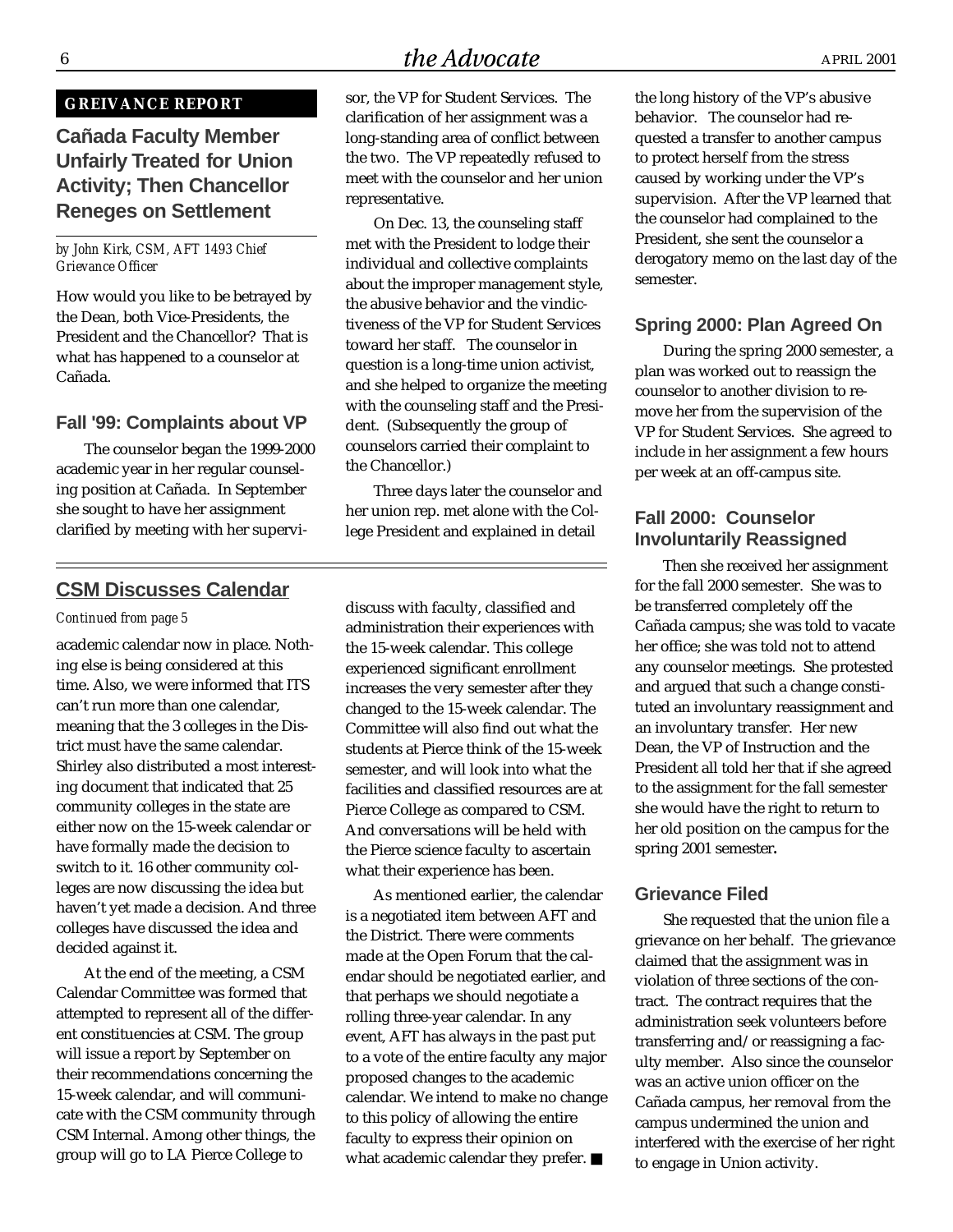## $the Advocate$  April 2001

#### **GREIVANCE REPORT**

## **Cañada Faculty Member Unfairly Treated for Union Activity; Then Chancellor Reneges on Settlement**

#### *by John Kirk, CSM, AFT 1493 Chief Grievance Officer*

How would you like to be betrayed by the Dean, both Vice-Presidents, the President and the Chancellor? That is what has happened to a counselor at Cañada.

#### **Fall '99: Complaints about VP**

The counselor began the 1999-2000 academic year in her regular counseling position at Cañada. In September she sought to have her assignment clarified by meeting with her supervi-

#### **CSM Discusses Calendar**

#### *Continued from page 5*

academic calendar now in place. Nothing else is being considered at this time. Also, we were informed that ITS can't run more than one calendar, meaning that the 3 colleges in the District must have the same calendar. Shirley also distributed a most interesting document that indicated that 25 community colleges in the state are either now on the 15-week calendar or have formally made the decision to switch to it. 16 other community colleges are now discussing the idea but haven't yet made a decision. And three colleges have discussed the idea and decided against it.

At the end of the meeting, a CSM Calendar Committee was formed that attempted to represent all of the different constituencies at CSM. The group will issue a report by September on their recommendations concerning the 15-week calendar, and will communicate with the CSM community through CSM Internal. Among other things, the group will go to LA Pierce College to

sor, the VP for Student Services. The clarification of her assignment was a long-standing area of conflict between the two. The VP repeatedly refused to meet with the counselor and her union representative.

On Dec. 13, the counseling staff met with the President to lodge their individual and collective complaints about the improper management style, the abusive behavior and the vindictiveness of the VP for Student Services toward her staff. The counselor in question is a long-time union activist, and she helped to organize the meeting with the counseling staff and the President. (Subsequently the group of counselors carried their complaint to the Chancellor.)

Three days later the counselor and her union rep. met alone with the College President and explained in detail

discuss with faculty, classified and administration their experiences with the 15-week calendar. This college experienced significant enrollment increases the very semester after they changed to the 15-week calendar. The Committee will also find out what the students at Pierce think of the 15-week semester, and will look into what the facilities and classified resources are at Pierce College as compared to CSM. And conversations will be held with the Pierce science faculty to ascertain what their experience has been.

As mentioned earlier, the calendar is a negotiated item between AFT and the District. There were comments made at the Open Forum that the calendar should be negotiated earlier, and that perhaps we should negotiate a rolling three-year calendar. In any event, AFT has always in the past put to a vote of the entire faculty any major proposed changes to the academic calendar. We intend to make no change to this policy of allowing the entire faculty to express their opinion on what academic calendar they prefer. ■

the long history of the VP's abusive behavior. The counselor had requested a transfer to another campus to protect herself from the stress caused by working under the VP's supervision. After the VP learned that the counselor had complained to the President, she sent the counselor a derogatory memo on the last day of the semester.

#### **Spring 2000: Plan Agreed On**

During the spring 2000 semester, a plan was worked out to reassign the counselor to another division to remove her from the supervision of the VP for Student Services. She agreed to include in her assignment a few hours per week at an off-campus site.

#### **Fall 2000: Counselor Involuntarily Reassigned**

Then she received her assignment for the fall 2000 semester. She was to be transferred completely off the Cañada campus; she was told to vacate her office; she was told not to attend any counselor meetings. She protested and argued that such a change constituted an involuntary reassignment and an involuntary transfer. Her new Dean, the VP of Instruction and the President all told her that if she agreed to the assignment for the fall semester she would have the right to return to her old position on the campus for the spring 2001 semester**.**

#### **Grievance Filed**

She requested that the union file a grievance on her behalf. The grievance claimed that the assignment was in violation of three sections of the contract. The contract requires that the administration seek volunteers before transferring and/or reassigning a faculty member. Also since the counselor was an active union officer on the Cañada campus, her removal from the campus undermined the union and interfered with the exercise of her right to engage in Union activity.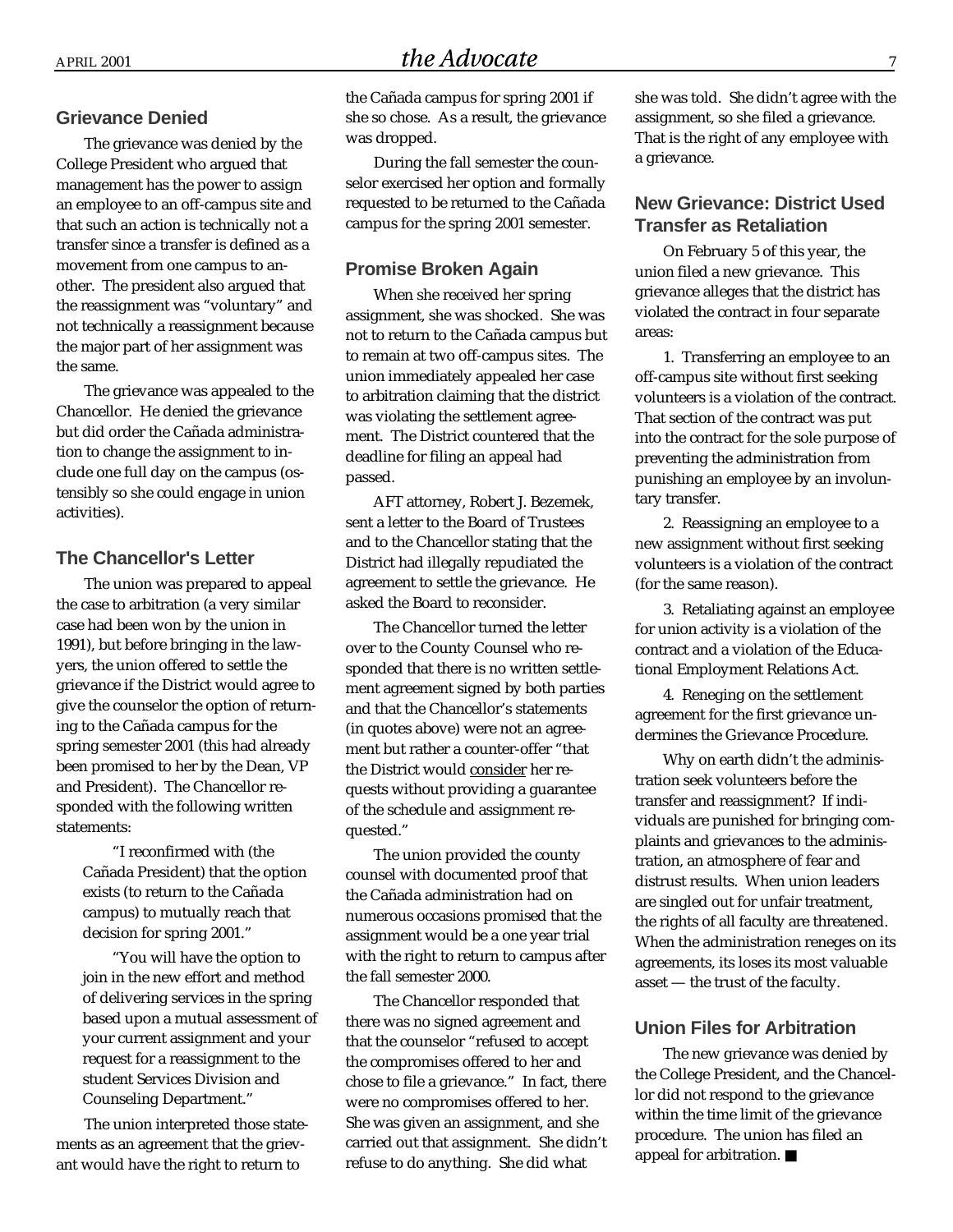#### **Grievance Denied**

The grievance was denied by the College President who argued that management has the power to assign an employee to an off-campus site and that such an action is technically not a transfer since a transfer is defined as a movement from one campus to another. The president also argued that the reassignment was "voluntary" and not technically a reassignment because the major part of her assignment was the same.

The grievance was appealed to the Chancellor. He denied the grievance but did order the Cañada administration to change the assignment to include one full day on the campus (ostensibly so she could engage in union activities).

#### **The Chancellor's Letter**

The union was prepared to appeal the case to arbitration (a very similar case had been won by the union in 1991), but before bringing in the lawyers, the union offered to settle the grievance if the District would agree to give the counselor the option of returning to the Cañada campus for the spring semester 2001 (this had already been promised to her by the Dean, VP and President). The Chancellor responded with the following written statements:

> "I reconfirmed with (the Cañada President) that the option exists (to return to the Cañada campus) to mutually reach that decision for spring 2001."

"You will have the option to join in the new effort and method of delivering services in the spring based upon a mutual assessment of your current assignment and your request for a reassignment to the student Services Division and Counseling Department."

The union interpreted those statements as an agreement that the grievant would have the right to return to

the Cañada campus for spring 2001 if she so chose. As a result, the grievance was dropped.

During the fall semester the counselor exercised her option and formally requested to be returned to the Cañada campus for the spring 2001 semester.

#### **Promise Broken Again**

When she received her spring assignment, she was shocked. She was not to return to the Cañada campus but to remain at two off-campus sites. The union immediately appealed her case to arbitration claiming that the district was violating the settlement agreement. The District countered that the deadline for filing an appeal had passed.

AFT attorney, Robert J. Bezemek, sent a letter to the Board of Trustees and to the Chancellor stating that the District had illegally repudiated the agreement to settle the grievance. He asked the Board to reconsider.

The Chancellor turned the letter over to the County Counsel who responded that there is no written settlement agreement signed by both parties and that the Chancellor's statements (in quotes above) were not an agreement but rather a counter-offer "that the District would consider her requests without providing a guarantee of the schedule and assignment requested."

The union provided the county counsel with documented proof that the Cañada administration had on numerous occasions promised that the assignment would be a one year trial with the right to return to campus after the fall semester 2000.

The Chancellor responded that there was no signed agreement and that the counselor "refused to accept the compromises offered to her and chose to file a grievance." In fact, there were no compromises offered to her. She was given an assignment, and she carried out that assignment. She didn't refuse to do anything. She did what

she was told. She didn't agree with the assignment, so she filed a grievance. That is the right of any employee with a grievance.

#### **New Grievance: District Used Transfer as Retaliation**

On February 5 of this year, the union filed a new grievance. This grievance alleges that the district has violated the contract in four separate areas:

1. Transferring an employee to an off-campus site without first seeking volunteers is a violation of the contract. That section of the contract was put into the contract for the sole purpose of preventing the administration from punishing an employee by an involuntary transfer.

2. Reassigning an employee to a new assignment without first seeking volunteers is a violation of the contract (for the same reason).

3. Retaliating against an employee for union activity is a violation of the contract and a violation of the Educational Employment Relations Act.

4. Reneging on the settlement agreement for the first grievance undermines the Grievance Procedure.

Why on earth didn't the administration seek volunteers before the transfer and reassignment? If individuals are punished for bringing complaints and grievances to the administration, an atmosphere of fear and distrust results. When union leaders are singled out for unfair treatment, the rights of all faculty are threatened. When the administration reneges on its agreements, its loses its most valuable asset — the trust of the faculty.

#### **Union Files for Arbitration**

The new grievance was denied by the College President, and the Chancellor did not respond to the grievance within the time limit of the grievance procedure. The union has filed an appeal for arbitration. ■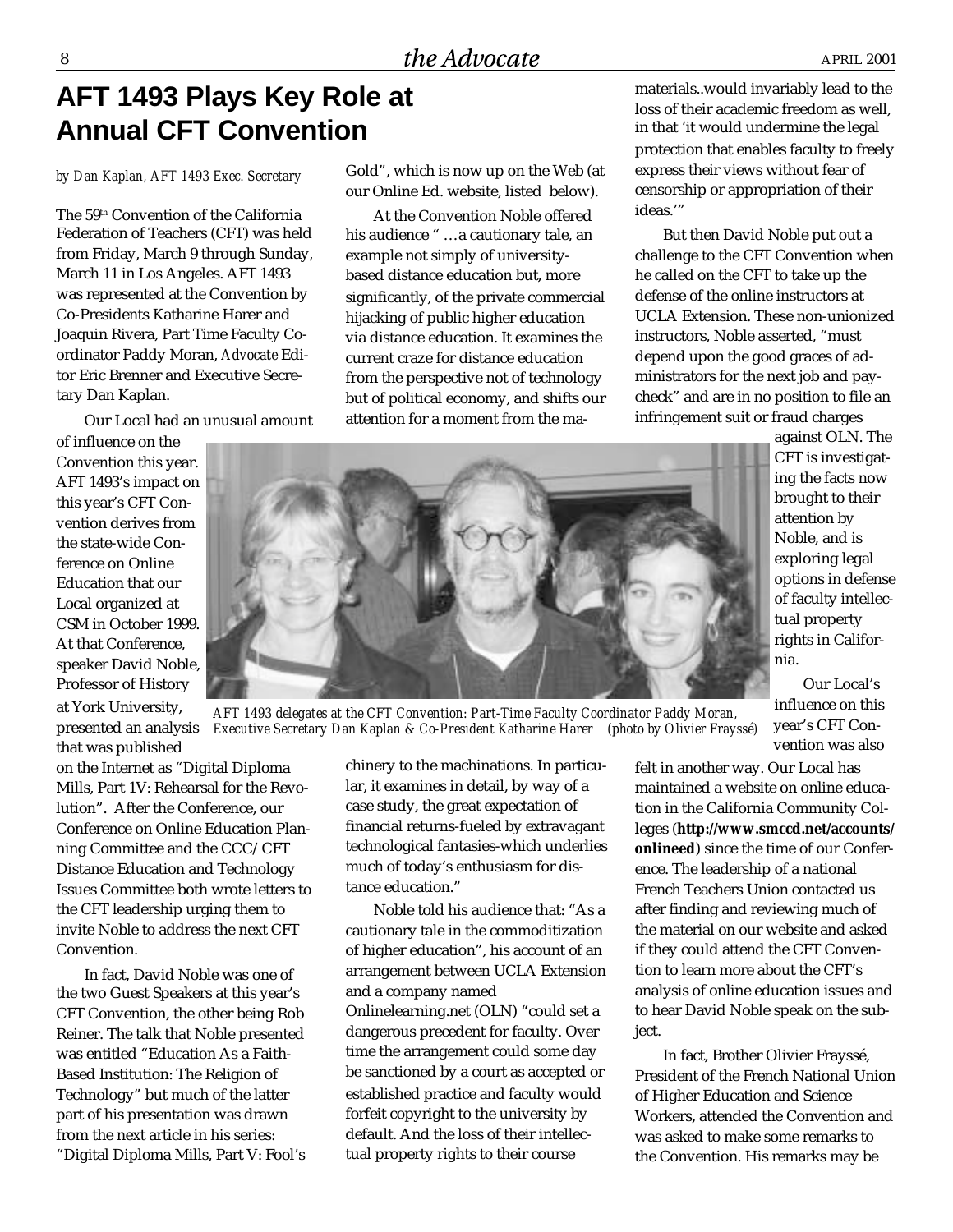# **AFT 1493 Plays Key Role at Annual CFT Convention**

*by Dan Kaplan, AFT 1493 Exec. Secretary*

The 59th Convention of the California Federation of Teachers (CFT) was held from Friday, March 9 through Sunday, March 11 in Los Angeles. AFT 1493 was represented at the Convention by Co-Presidents Katharine Harer and Joaquin Rivera, Part Time Faculty Coordinator Paddy Moran, *Advocate* Editor Eric Brenner and Executive Secretary Dan Kaplan.

Our Local had an unusual amount

of influence on the Convention this year. AFT 1493's impact on this year's CFT Convention derives from the state-wide Conference on Online Education that our Local organized at CSM in October 1999. At that Conference, speaker David Noble, Professor of History at York University,

that was published on the Internet as "Digital Diploma Mills, Part 1V: Rehearsal for the Revolution". After the Conference, our Conference on Online Education Planning Committee and the CCC/CFT Distance Education and Technology Issues Committee both wrote letters to the CFT leadership urging them to invite Noble to address the next CFT Convention.

In fact, David Noble was one of the two Guest Speakers at this year's CFT Convention, the other being Rob Reiner. The talk that Noble presented was entitled "Education As a Faith-Based Institution: The Religion of Technology" but much of the latter part of his presentation was drawn from the next article in his series: "Digital Diploma Mills, Part V: Fool's Gold", which is now up on the Web (at our Online Ed. website, listed below).

At the Convention Noble offered his audience " …a cautionary tale, an example not simply of universitybased distance education but, more significantly, of the private commercial hijacking of public higher education via distance education. It examines the current craze for distance education from the perspective not of technology but of political economy, and shifts our attention for a moment from the ma-

materials..would invariably lead to the loss of their academic freedom as well, in that 'it would undermine the legal protection that enables faculty to freely express their views without fear of censorship or appropriation of their ideas."

But then David Noble put out a challenge to the CFT Convention when he called on the CFT to take up the defense of the online instructors at UCLA Extension. These non-unionized instructors, Noble asserted, "must depend upon the good graces of administrators for the next job and paycheck" and are in no position to file an infringement suit or fraud charges

> against OLN. The CFT is investigating the facts now brought to their attention by Noble, and is exploring legal options in defense of faculty intellectual property rights in California.

Our Local's influence on this year's CFT Convention was also

felt in another way. Our Local has maintained a website on online education in the California Community Colleges (**http://www.smccd.net/accounts/ onlineed**) since the time of our Conference. The leadership of a national French Teachers Union contacted us after finding and reviewing much of the material on our website and asked if they could attend the CFT Convention to learn more about the CFT's analysis of online education issues and to hear David Noble speak on the subject.

In fact, Brother Olivier Frayssé, President of the French National Union of Higher Education and Science Workers, attended the Convention and was asked to make some remarks to the Convention. His remarks may be

*AFT 1493 delegates at the CFT Convention: Part-Time Faculty Coordinator Paddy Moran, Executive Secretary Dan Kaplan & Co-President Katharine Harer (photo by Olivier Frayssé)* presented an analysis

chinery to the machinations. In particular, it examines in detail, by way of a case study, the great expectation of financial returns-fueled by extravagant technological fantasies-which underlies much of today's enthusiasm for distance education."

Noble told his audience that: "As a cautionary tale in the commoditization of higher education", his account of an arrangement between UCLA Extension and a company named Onlinelearning.net (OLN) "could set a dangerous precedent for faculty. Over time the arrangement could some day be sanctioned by a court as accepted or established practice and faculty would forfeit copyright to the university by default. And the loss of their intellectual property rights to their course

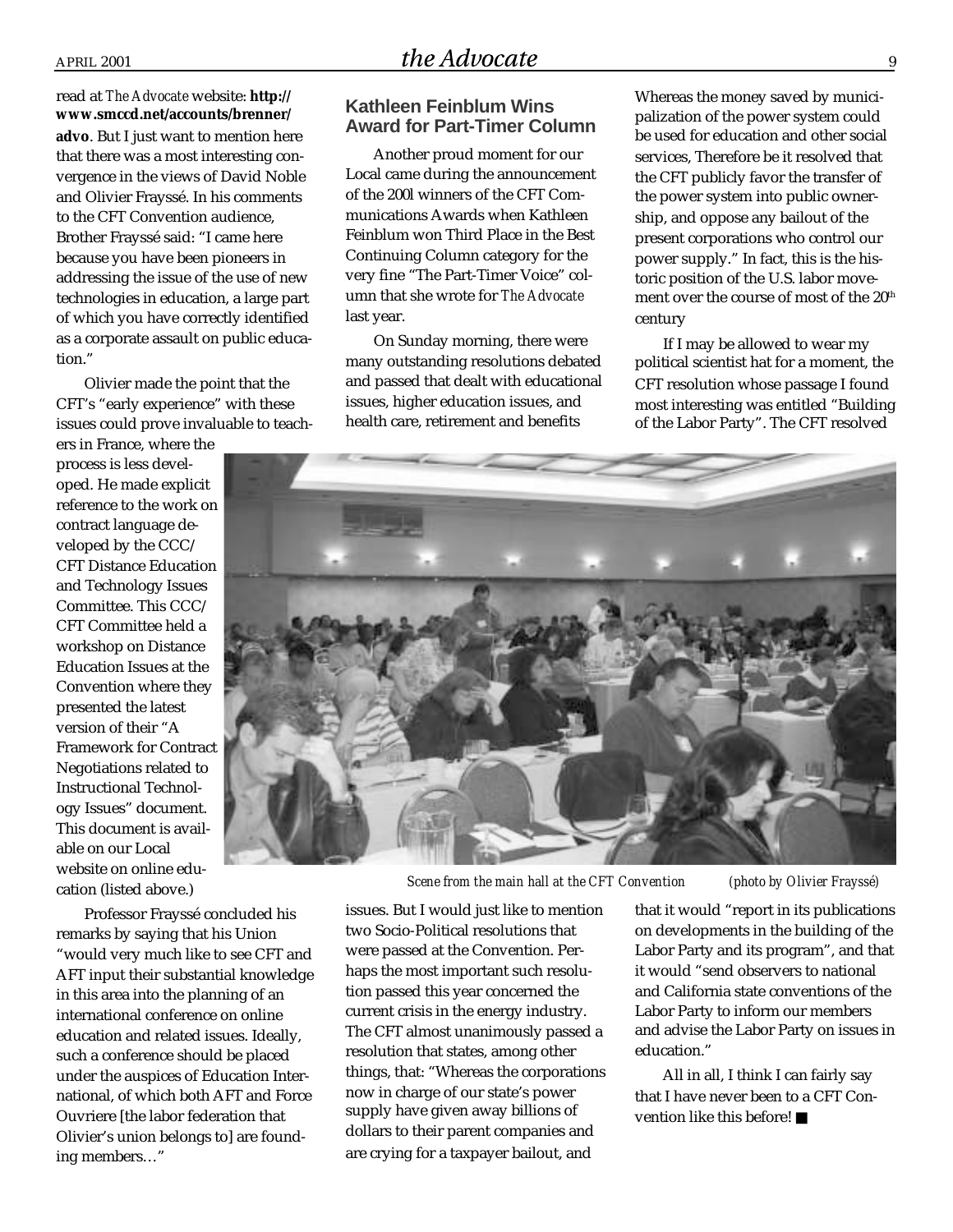read at *The Advocate* website: **http:// www.smccd.net/accounts/brenner/ advo**. But I just want to mention here that there was a most interesting convergence in the views of David Noble and Olivier Frayssé. In his comments to the CFT Convention audience, Brother Frayssé said: "I came here because you have been pioneers in addressing the issue of the use of new technologies in education, a large part of which you have correctly identified as a corporate assault on public education."

Olivier made the point that the CFT's "early experience" with these issues could prove invaluable to teach-

ers in France, where the process is less developed. He made explicit reference to the work on contract language developed by the CCC/ CFT Distance Education and Technology Issues Committee. This CCC/ CFT Committee held a workshop on Distance Education Issues at the Convention where they presented the latest version of their "A Framework for Contract Negotiations related to Instructional Technology Issues" document. This document is available on our Local website on online education (listed above.)

Professor Frayssé concluded his remarks by saying that his Union "would very much like to see CFT and AFT input their substantial knowledge in this area into the planning of an international conference on online education and related issues. Ideally, such a conference should be placed under the auspices of Education International, of which both AFT and Force Ouvriere [the labor federation that Olivier's union belongs to] are founding members…"

#### **Kathleen Feinblum Wins Award for Part-Timer Column**

Another proud moment for our Local came during the announcement of the 200l winners of the CFT Communications Awards when Kathleen Feinblum won Third Place in the Best Continuing Column category for the very fine "The Part-Timer Voice" column that she wrote for *The Advocate* last year.

On Sunday morning, there were many outstanding resolutions debated and passed that dealt with educational issues, higher education issues, and health care, retirement and benefits

Whereas the money saved by municipalization of the power system could be used for education and other social services, Therefore be it resolved that the CFT publicly favor the transfer of the power system into public ownership, and oppose any bailout of the present corporations who control our power supply." In fact, this is the historic position of the U.S. labor movement over the course of most of the 20<sup>th</sup> century

If I may be allowed to wear my political scientist hat for a moment, the CFT resolution whose passage I found most interesting was entitled "Building of the Labor Party". The CFT resolved



 *Scene from the main hall at the CFT Convention (photo by Olivier Frayssé)*

issues. But I would just like to mention two Socio-Political resolutions that were passed at the Convention. Perhaps the most important such resolution passed this year concerned the current crisis in the energy industry. The CFT almost unanimously passed a resolution that states, among other things, that: "Whereas the corporations now in charge of our state's power supply have given away billions of dollars to their parent companies and are crying for a taxpayer bailout, and

that it would "report in its publications on developments in the building of the Labor Party and its program", and that it would "send observers to national and California state conventions of the Labor Party to inform our members and advise the Labor Party on issues in education."

All in all, I think I can fairly say that I have never been to a CFT Convention like this before! ■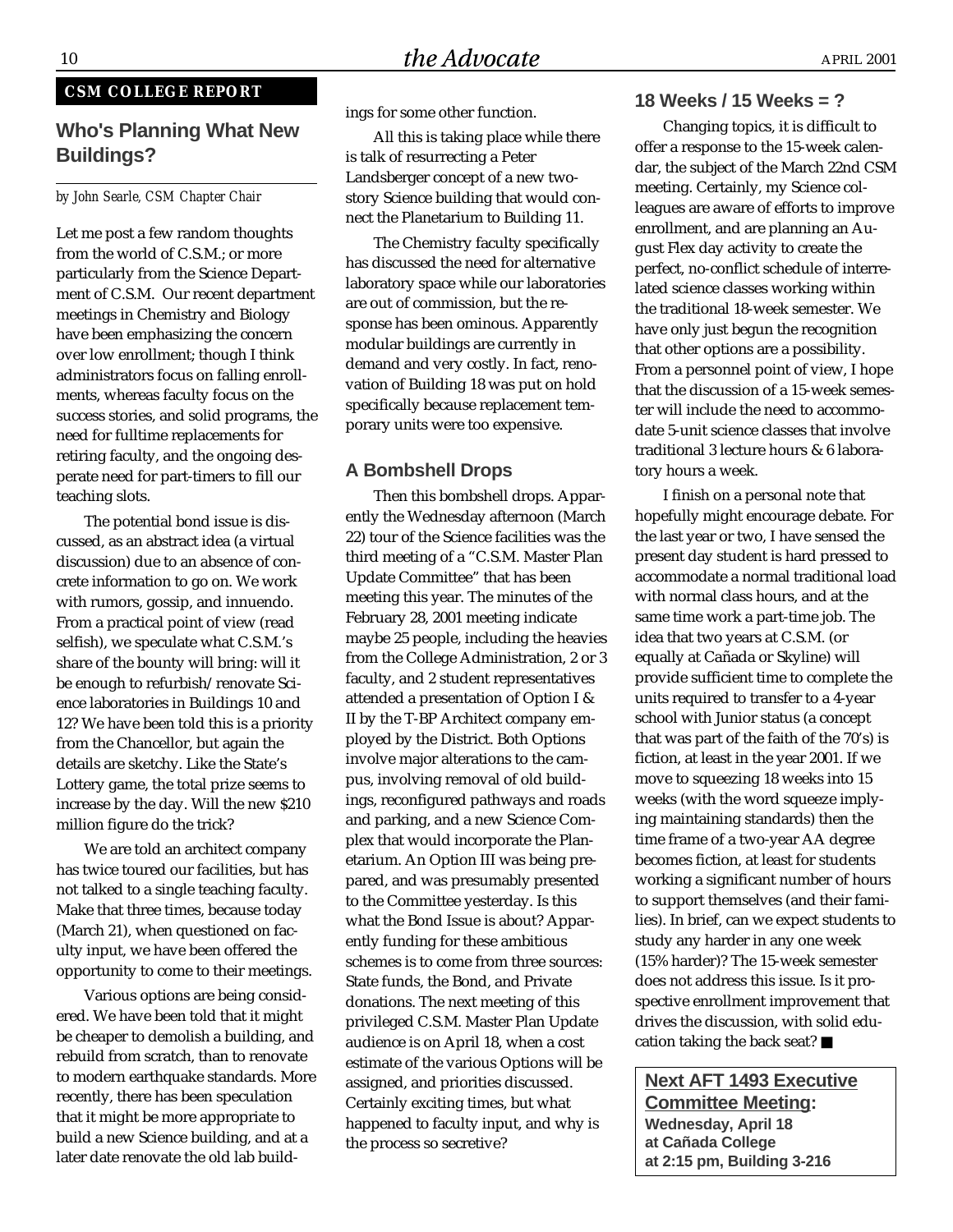#### **CSM COLLEGE REPORT**

#### **Who's Planning What New Buildings?**

#### *by John Searle, CSM Chapter Chair*

Let me post a few random thoughts from the world of C.S.M.; or more particularly from the Science Department of C.S.M. Our recent department meetings in Chemistry and Biology have been emphasizing the concern over low enrollment; though I think administrators focus on falling enrollments, whereas faculty focus on the success stories, and solid programs, the need for fulltime replacements for retiring faculty, and the ongoing desperate need for part-timers to fill our teaching slots.

The potential bond issue is discussed, as an abstract idea (a virtual discussion) due to an absence of concrete information to go on. We work with rumors, gossip, and innuendo. From a practical point of view (read selfish), we speculate what C.S.M.'s share of the bounty will bring: will it be enough to refurbish/renovate Science laboratories in Buildings 10 and 12? We have been told this is a priority from the Chancellor, but again the details are sketchy. Like the State's Lottery game, the total prize seems to increase by the day. Will the new \$210 million figure do the trick?

We are told an architect company has twice toured our facilities, but has not talked to a single teaching faculty. Make that three times, because today (March 21), when questioned on faculty input, we have been offered the opportunity to come to their meetings.

Various options are being considered. We have been told that it might be cheaper to demolish a building, and rebuild from scratch, than to renovate to modern earthquake standards. More recently, there has been speculation that it might be more appropriate to build a new Science building, and at a later date renovate the old lab buildings for some other function.

All this is taking place while there is talk of resurrecting a Peter Landsberger concept of a new twostory Science building that would connect the Planetarium to Building 11.

The Chemistry faculty specifically has discussed the need for alternative laboratory space while our laboratories are out of commission, but the response has been ominous. Apparently modular buildings are currently in demand and very costly. In fact, renovation of Building 18 was put on hold specifically because replacement temporary units were too expensive.

#### **A Bombshell Drops**

Then this bombshell drops. Apparently the Wednesday afternoon (March 22) tour of the Science facilities was the third meeting of a "C.S.M. Master Plan Update Committee" that has been meeting this year. The minutes of the February 28, 2001 meeting indicate maybe 25 people, including the heavies from the College Administration, 2 or 3 faculty, and 2 student representatives attended a presentation of Option I & II by the T-BP Architect company employed by the District. Both Options involve major alterations to the campus, involving removal of old buildings, reconfigured pathways and roads and parking, and a new Science Complex that would incorporate the Planetarium. An Option III was being prepared, and was presumably presented to the Committee yesterday. Is this what the Bond Issue is about? Apparently funding for these ambitious schemes is to come from three sources: State funds, the Bond, and Private donations. The next meeting of this privileged C.S.M. Master Plan Update audience is on April 18, when a cost estimate of the various Options will be assigned, and priorities discussed. Certainly exciting times, but what happened to faculty input, and why is the process so secretive?

#### **18 Weeks / 15 Weeks = ?**

Changing topics, it is difficult to offer a response to the 15-week calendar, the subject of the March 22nd CSM meeting. Certainly, my Science colleagues are aware of efforts to improve enrollment, and are planning an August Flex day activity to create the perfect, no-conflict schedule of interrelated science classes working within the traditional 18-week semester. We have only just begun the recognition that other options are a possibility. From a personnel point of view, I hope that the discussion of a 15-week semester will include the need to accommodate 5-unit science classes that involve traditional 3 lecture hours & 6 laboratory hours a week.

I finish on a personal note that hopefully might encourage debate. For the last year or two, I have sensed the present day student is hard pressed to accommodate a normal traditional load with normal class hours, and at the same time work a part-time job. The idea that two years at C.S.M. (or equally at Cañada or Skyline) will provide sufficient time to complete the units required to transfer to a 4-year school with Junior status (a concept that was part of the faith of the 70's) is fiction, at least in the year 2001. If we move to squeezing 18 weeks into 15 weeks (with the word squeeze implying maintaining standards) then the time frame of a two-year AA degree becomes fiction, at least for students working a significant number of hours to support themselves (and their families). In brief, can we expect students to study any harder in any one week (15% harder)? The 15-week semester does not address this issue. Is it prospective enrollment improvement that drives the discussion, with solid education taking the back seat? ■

**Next AFT 1493 Executive Committee Meeting: Wednesday, April 18 at Cañada College at 2:15 pm, Building 3-216**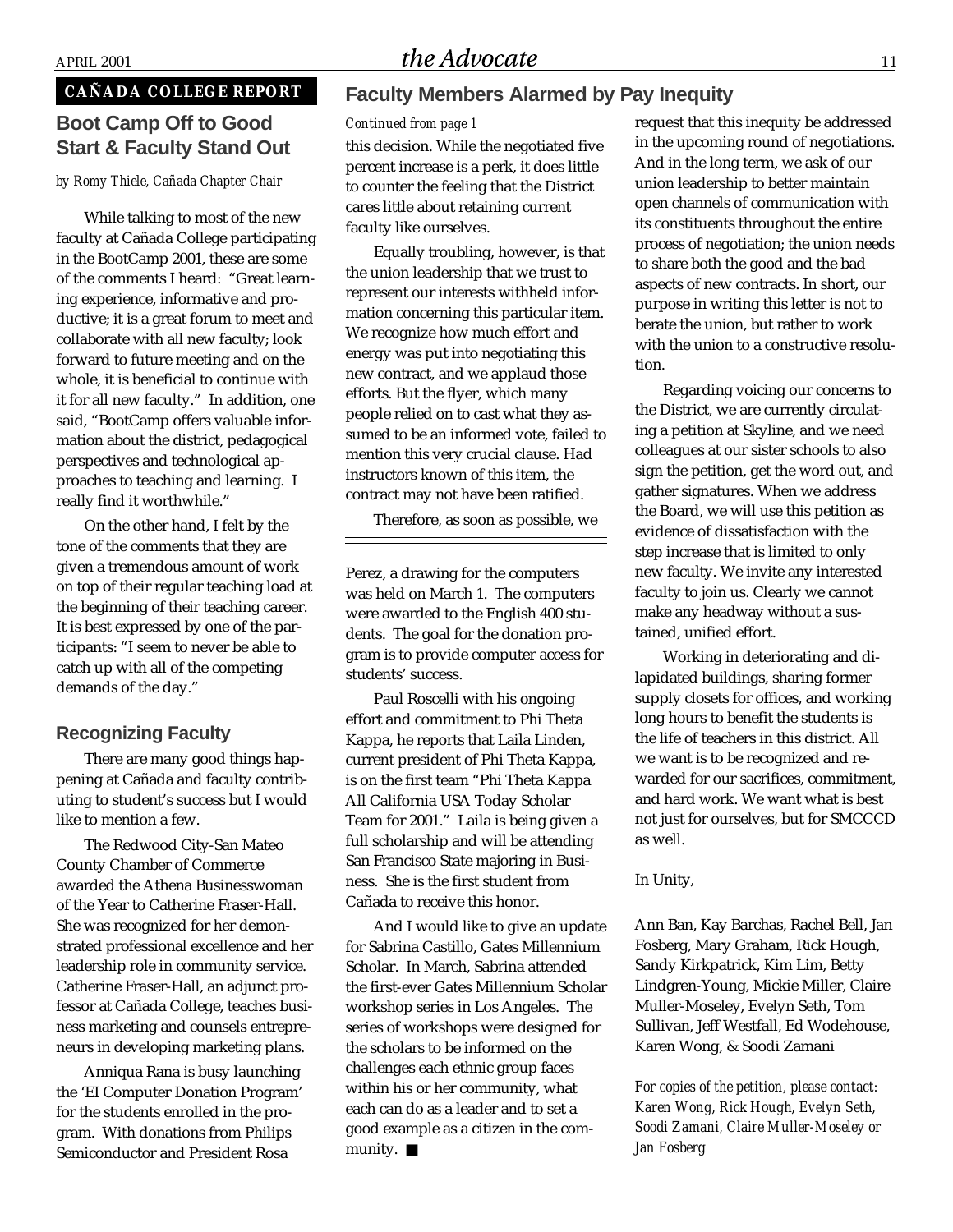## $A$ PRIL 2001  $the Advocate$  11

## **CAÑADA COLLEGE REPORT**

## **Boot Camp Off to Good Start & Faculty Stand Out**

*by Romy Thiele, Cañada Chapter Chair*

While talking to most of the new faculty at Cañada College participating in the BootCamp 2001, these are some of the comments I heard: "Great learning experience, informative and productive; it is a great forum to meet and collaborate with all new faculty; look forward to future meeting and on the whole, it is beneficial to continue with it for all new faculty." In addition, one said, "BootCamp offers valuable information about the district, pedagogical perspectives and technological approaches to teaching and learning. I really find it worthwhile."

On the other hand, I felt by the tone of the comments that they are given a tremendous amount of work on top of their regular teaching load at the beginning of their teaching career. It is best expressed by one of the participants: "I seem to never be able to catch up with all of the competing demands of the day."

#### **Recognizing Faculty**

There are many good things happening at Cañada and faculty contributing to student's success but I would like to mention a few.

The Redwood City-San Mateo County Chamber of Commerce awarded the Athena Businesswoman of the Year to Catherine Fraser-Hall. She was recognized for her demonstrated professional excellence and her leadership role in community service. Catherine Fraser-Hall, an adjunct professor at Cañada College, teaches business marketing and counsels entrepreneurs in developing marketing plans.

Anniqua Rana is busy launching the 'EI Computer Donation Program' for the students enrolled in the program. With donations from Philips Semiconductor and President Rosa

#### **Faculty Members Alarmed by Pay Inequity**

*Continued from page 1*

this decision. While the negotiated five percent increase is a perk, it does little to counter the feeling that the District cares little about retaining current faculty like ourselves.

Equally troubling, however, is that the union leadership that we trust to represent our interests withheld information concerning this particular item. We recognize how much effort and energy was put into negotiating this new contract, and we applaud those efforts. But the flyer, which many people relied on to cast what they assumed to be an informed vote, failed to mention this very crucial clause. Had instructors known of this item, the contract may not have been ratified.

Therefore, as soon as possible, we

Perez, a drawing for the computers was held on March 1. The computers were awarded to the English 400 students. The goal for the donation program is to provide computer access for students' success.

Paul Roscelli with his ongoing effort and commitment to Phi Theta Kappa, he reports that Laila Linden, current president of Phi Theta Kappa, is on the first team "Phi Theta Kappa All California USA Today Scholar Team for 2001." Laila is being given a full scholarship and will be attending San Francisco State majoring in Business. She is the first student from Cañada to receive this honor.

And I would like to give an update for Sabrina Castillo, Gates Millennium Scholar. In March, Sabrina attended the first-ever Gates Millennium Scholar workshop series in Los Angeles. The series of workshops were designed for the scholars to be informed on the challenges each ethnic group faces within his or her community, what each can do as a leader and to set a good example as a citizen in the community. ■

request that this inequity be addressed in the upcoming round of negotiations. And in the long term, we ask of our union leadership to better maintain open channels of communication with its constituents throughout the entire process of negotiation; the union needs to share both the good and the bad aspects of new contracts. In short, our purpose in writing this letter is not to berate the union, but rather to work with the union to a constructive resolution.

Regarding voicing our concerns to the District, we are currently circulating a petition at Skyline, and we need colleagues at our sister schools to also sign the petition, get the word out, and gather signatures. When we address the Board, we will use this petition as evidence of dissatisfaction with the step increase that is limited to only new faculty. We invite any interested faculty to join us. Clearly we cannot make any headway without a sustained, unified effort.

Working in deteriorating and dilapidated buildings, sharing former supply closets for offices, and working long hours to benefit the students is the life of teachers in this district. All we want is to be recognized and rewarded for our sacrifices, commitment, and hard work. We want what is best not just for ourselves, but for SMCCCD as well.

In Unity,

Ann Ban, Kay Barchas, Rachel Bell, Jan Fosberg, Mary Graham, Rick Hough, Sandy Kirkpatrick, Kim Lim, Betty Lindgren-Young, Mickie Miller, Claire Muller-Moseley, Evelyn Seth, Tom Sullivan, Jeff Westfall, Ed Wodehouse, Karen Wong, & Soodi Zamani

*For copies of the petition, please contact: Karen Wong, Rick Hough, Evelyn Seth, Soodi Zamani, Claire Muller-Moseley or Jan Fosberg*